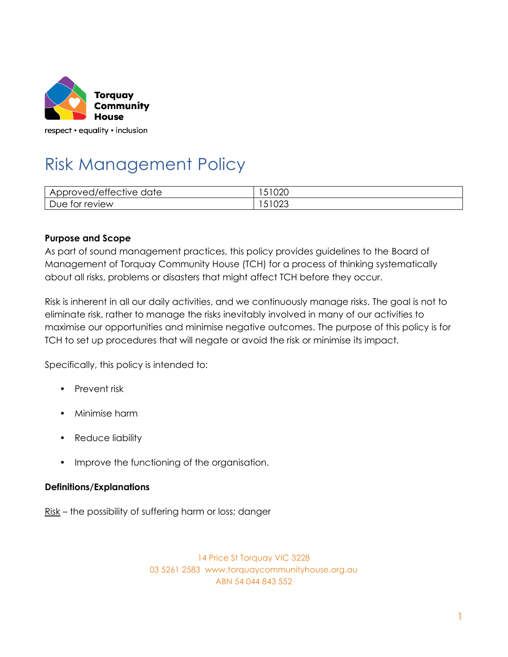

# Risk Management Policy

| $\sim$ $\sim$ $\sim$<br>Approved/effective date | 51020 |
|-------------------------------------------------|-------|
| Due                                             | UZJ   |
| for review                                      | ◡     |

#### **Purpose and Scope**

As part of sound management practices, this policy provides guidelines to the Board of Management of Torquay Community House (TCH) for a process of thinking systematically about all risks, problems or disasters that might affect TCH before they occur.

Risk is inherent in all our daily activities, and we continuously manage risks. The goal is not to eliminate risk, rather to manage the risks inevitably involved in many of our activities to maximise our opportunities and minimise negative outcomes. The purpose of this policy is for TCH to set up procedures that will negate or avoid the risk or minimise its impact.

Specifically, this policy is intended to:

- Prevent risk
- Minimise harm
- Reduce liability
- Improve the functioning of the organisation.

#### **Definitions/Explanations**

Risk – the possibility of suffering harm or loss; danger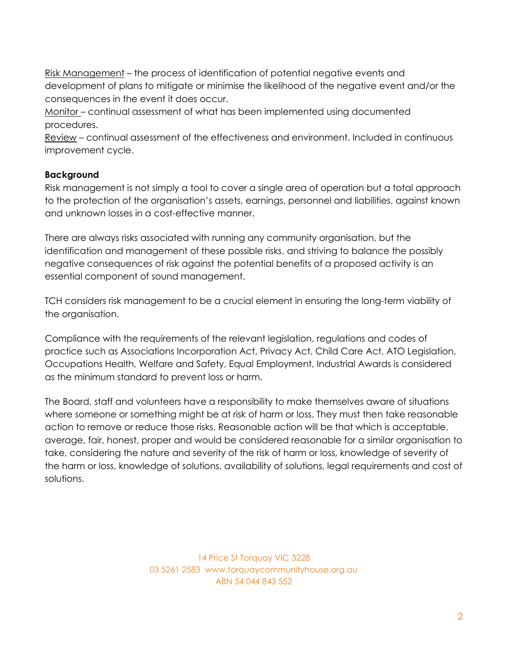Risk Management – the process of identification of potential negative events and development of plans to mitigate or minimise the likelihood of the negative event and/or the consequences in the event it does occur.

Monitor – continual assessment of what has been implemented using documented procedures.

Review – continual assessment of the effectiveness and environment. Included in continuous improvement cycle.

## **Background**

Risk management is not simply a tool to cover a single area of operation but a total approach to the protection of the organisation's assets, earnings, personnel and liabilities, against known and unknown losses in a cost-effective manner.

There are always risks associated with running any community organisation, but the identification and management of these possible risks, and striving to balance the possibly negative consequences of risk against the potential benefits of a proposed activity is an essential component of sound management.

TCH considers risk management to be a crucial element in ensuring the long-term viability of the organisation.

Compliance with the requirements of the relevant legislation, regulations and codes of practice such as Associations Incorporation Act, Privacy Act, Child Care Act, ATO Legislation, Occupations Health, Welfare and Safety, Equal Employment, Industrial Awards is considered as the minimum standard to prevent loss or harm.

The Board, staff and volunteers have a responsibility to make themselves aware of situations where someone or something might be at risk of harm or loss. They must then take reasonable action to remove or reduce those risks. Reasonable action will be that which is acceptable, average, fair, honest, proper and would be considered reasonable for a similar organisation to take, considering the nature and severity of the risk of harm or loss, knowledge of severity of the harm or loss, knowledge of solutions, availability of solutions, legal requirements and cost of solutions.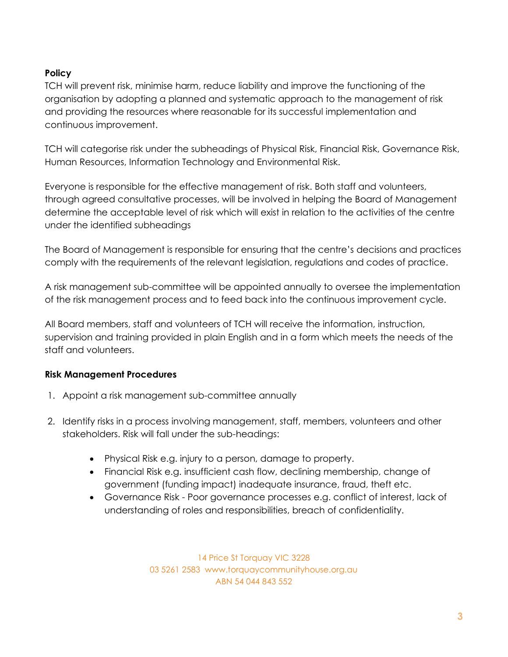# **Policy**

TCH will prevent risk, minimise harm, reduce liability and improve the functioning of the organisation by adopting a planned and systematic approach to the management of risk and providing the resources where reasonable for its successful implementation and continuous improvement.

TCH will categorise risk under the subheadings of Physical Risk, Financial Risk, Governance Risk, Human Resources, Information Technology and Environmental Risk.

Everyone is responsible for the effective management of risk. Both staff and volunteers, through agreed consultative processes, will be involved in helping the Board of Management determine the acceptable level of risk which will exist in relation to the activities of the centre under the identified subheadings

The Board of Management is responsible for ensuring that the centre's decisions and practices comply with the requirements of the relevant legislation, regulations and codes of practice.

A risk management sub-committee will be appointed annually to oversee the implementation of the risk management process and to feed back into the continuous improvement cycle.

All Board members, staff and volunteers of TCH will receive the information, instruction, supervision and training provided in plain English and in a form which meets the needs of the staff and volunteers.

# **Risk Management Procedures**

- 1. Appoint a risk management sub-committee annually
- 2. Identify risks in a process involving management, staff, members, volunteers and other stakeholders. Risk will fall under the sub-headings:
	- Physical Risk e.g. injury to a person, damage to property.
	- Financial Risk e.g. insufficient cash flow, declining membership, change of government (funding impact) inadequate insurance, fraud, theft etc.
	- Governance Risk Poor governance processes e.g. conflict of interest, lack of understanding of roles and responsibilities, breach of confidentiality.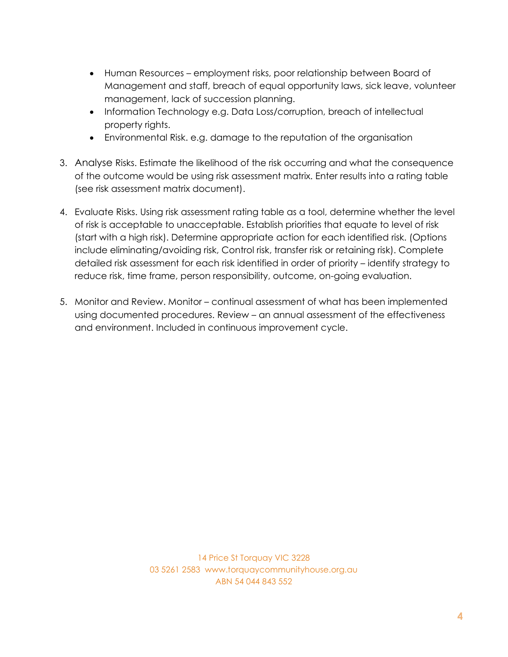- Human Resources employment risks, poor relationship between Board of Management and staff, breach of equal opportunity laws, sick leave, volunteer management, lack of succession planning.
- Information Technology e.g. Data Loss/corruption, breach of intellectual property rights.
- Environmental Risk. e.g. damage to the reputation of the organisation
- 3. Analyse Risks. Estimate the likelihood of the risk occurring and what the consequence of the outcome would be using risk assessment matrix. Enter results into a rating table (see risk assessment matrix document).
- 4. Evaluate Risks. Using risk assessment rating table as a tool, determine whether the level of risk is acceptable to unacceptable. Establish priorities that equate to level of risk (start with a high risk). Determine appropriate action for each identified risk. (Options include eliminating/avoiding risk, Control risk, transfer risk or retaining risk). Complete detailed risk assessment for each risk identified in order of priority – identify strategy to reduce risk, time frame, person responsibility, outcome, on-going evaluation.
- 5. Monitor and Review. Monitor continual assessment of what has been implemented using documented procedures. Review – an annual assessment of the effectiveness and environment. Included in continuous improvement cycle.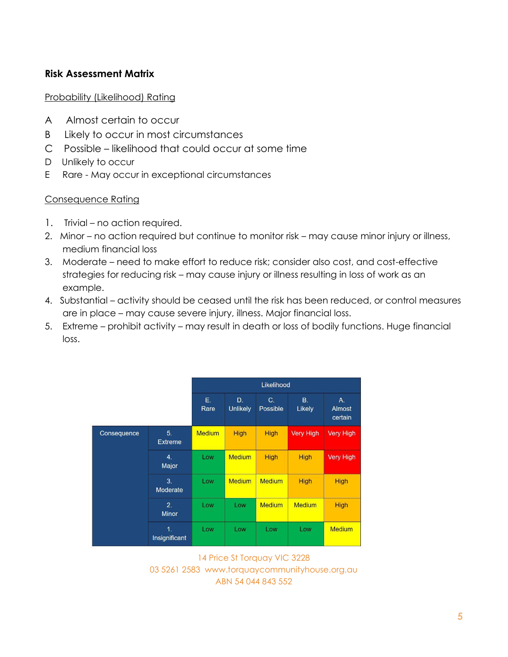# **Risk Assessment Matrix**

#### Probability (Likelihood) Rating

- A Almost certain to occur
- B Likely to occur in most circumstances
- C Possible likelihood that could occur at some time
- D Unlikely to occur
- E Rare May occur in exceptional circumstances

## Consequence Rating

- 1. Trivial no action required.
- 2. Minor no action required but continue to monitor risk may cause minor injury or illness, medium financial loss
- 3. Moderate need to make effort to reduce risk; consider also cost, and cost-effective strategies for reducing risk – may cause injury or illness resulting in loss of work as an example.
- 4. Substantial activity should be ceased until the risk has been reduced, or control measures are in place – may cause severe injury, illness. Major financial loss.
- 5. Extreme prohibit activity may result in death or loss of bodily functions. Huge financial loss.

|             |                           | Likelihood    |                |                     |                  |                         |  |
|-------------|---------------------------|---------------|----------------|---------------------|------------------|-------------------------|--|
|             |                           | Е.<br>Rare    | D.<br>Unlikely | $C_{1}$<br>Possible | B.<br>Likely     | A.<br>Almost<br>certain |  |
| Consequence | 5 <sub>1</sub><br>Extreme | <b>Medium</b> | <b>High</b>    | <b>High</b>         | <b>Very High</b> | <b>Very High</b>        |  |
|             | 4.<br>Major               | Low           | <b>Medium</b>  | <b>High</b>         | <b>High</b>      | <b>Very High</b>        |  |
|             | 3.<br>Moderate            | Low           | <b>Medium</b>  | <b>Medium</b>       | <b>High</b>      | <b>High</b>             |  |
|             | 2.<br><b>Minor</b>        | Low           | Low            | <b>Medium</b>       | <b>Medium</b>    | High                    |  |
|             | 1.<br>Insignificant       | Low           | Low            | Low                 | Low              | <b>Medium</b>           |  |